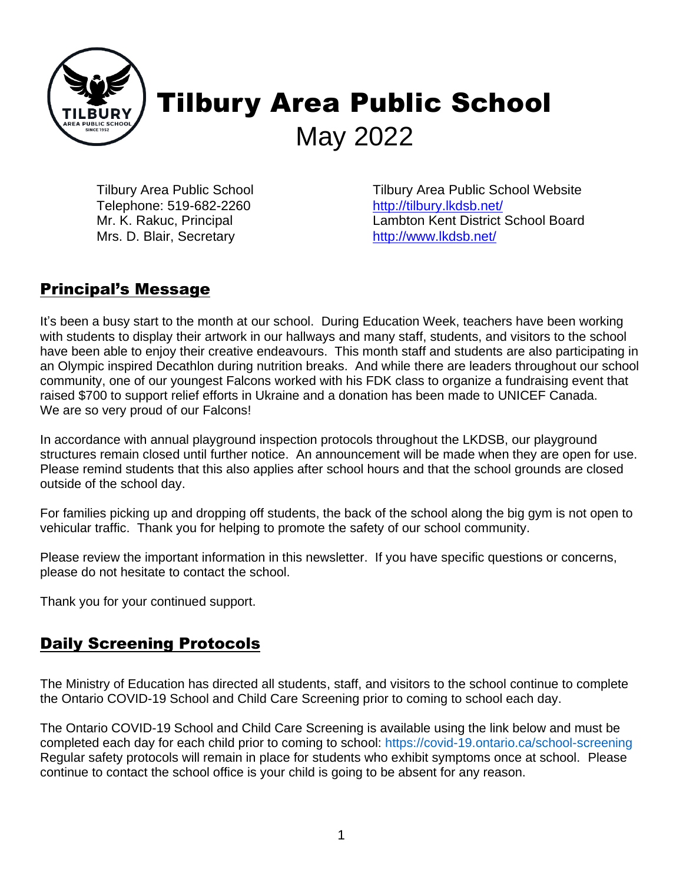

# Tilbury Area Public School May 2022

Tilbury Area Public School Telephone: 519-682-2260 Mr. K. Rakuc, Principal Mrs. D. Blair, Secretary

Tilbury Area Public School Website <http://tilbury.lkdsb.net/> Lambton Kent District School Board <http://www.lkdsb.net/>

#### Principal's Message

It's been a busy start to the month at our school. During Education Week, teachers have been working with students to display their artwork in our hallways and many staff, students, and visitors to the school have been able to enjoy their creative endeavours. This month staff and students are also participating in an Olympic inspired Decathlon during nutrition breaks. And while there are leaders throughout our school community, one of our youngest Falcons worked with his FDK class to organize a fundraising event that raised \$700 to support relief efforts in Ukraine and a donation has been made to UNICEF Canada. We are so very proud of our Falcons!

In accordance with annual playground inspection protocols throughout the LKDSB, our playground structures remain closed until further notice. An announcement will be made when they are open for use. Please remind students that this also applies after school hours and that the school grounds are closed outside of the school day.

For families picking up and dropping off students, the back of the school along the big gym is not open to vehicular traffic. Thank you for helping to promote the safety of our school community.

Please review the important information in this newsletter. If you have specific questions or concerns, please do not hesitate to contact the school.

Thank you for your continued support.

### Daily Screening Protocols

The Ministry of Education has directed all students, staff, and visitors to the school continue to complete the Ontario COVID-19 School and Child Care Screening prior to coming to school each day.

The Ontario COVID-19 School and Child Care Screening is available using the link below and must be completed each day for each child prior to coming to school: https://covid-19.ontario.ca/school-screening Regular safety protocols will remain in place for students who exhibit symptoms once at school. Please continue to contact the school office is your child is going to be absent for any reason.